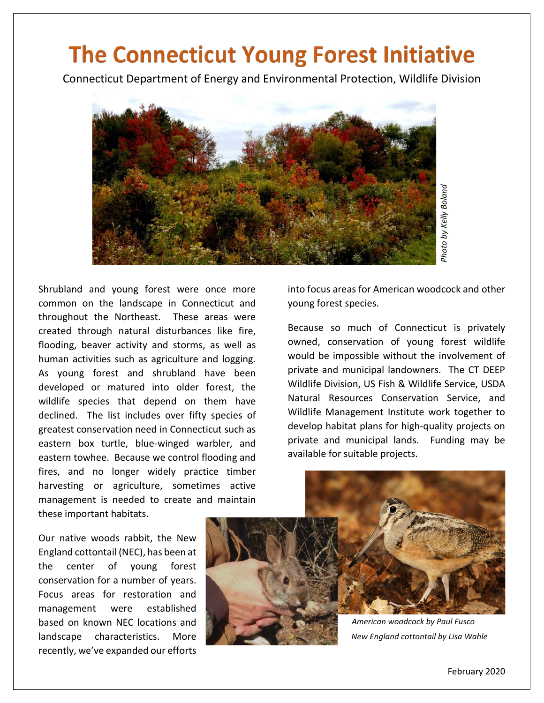## The Connecticut Young Forest Initiative

Connecticut Department of Energy and Environmental Protection, Wildlife Division



Shrubland and young forest were once more common on the landscape in Connecticut and throughout the Northeast. These areas were created through natural disturbances like fire, flooding, beaver activity and storms, as well as human activities such as agriculture and logging. As young forest and shrubland have been developed or matured into older forest, the wildlife species that depend on them have declined. The list includes over fifty species of greatest conservation need in Connecticut such as eastern box turtle, blue-winged warbler, and eastern towhee. Because we control flooding and fires, and no longer widely practice timber harvesting or agriculture, sometimes active management is needed to create and maintain these important habitats.

Our native woods rabbit, the New England cottontail (NEC), has been at the center of young forest conservation for a number of years. Focus areas for restoration and management were established based on known NEC locations and landscape characteristics. More recently, we've expanded our efforts

into focus areas for American woodcock and other young forest species.

Because so much of Connecticut is privately owned, conservation of young forest wildlife would be impossible without the involvement of private and municipal landowners. The CT DEEP Wildlife Division, US Fish & Wildlife Service, USDA Natural Resources Conservation Service, and Wildlife Management Institute work together to develop habitat plans for high-quality projects on private and municipal lands. Funding may be available for suitable projects. **American woodcock and and the servent of Connecticut** is privation of young forest invariant of young forest invariant and owners. The C and the involvem unicipal landowners. The C and the service of photo and the service